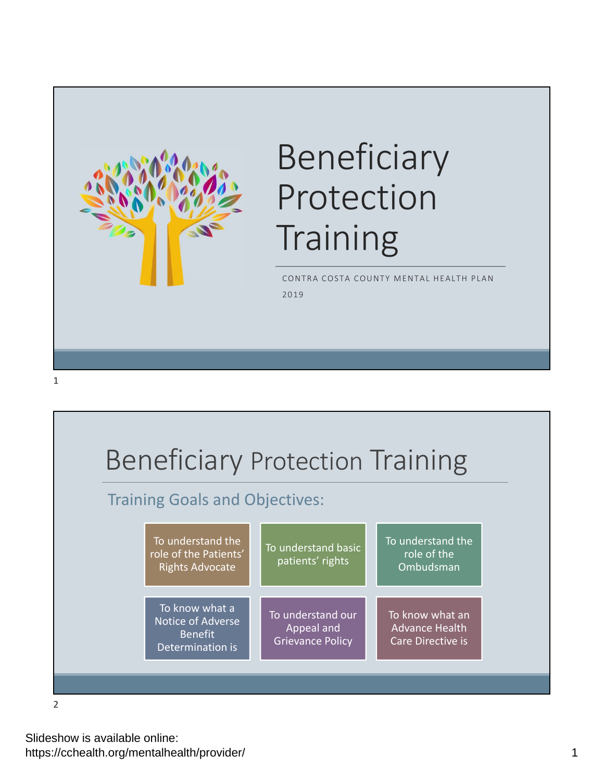

# Beneficiary Protection **Training**

CONTRA COSTA COUNTY MENTAL HEALTH PLAN 2019



2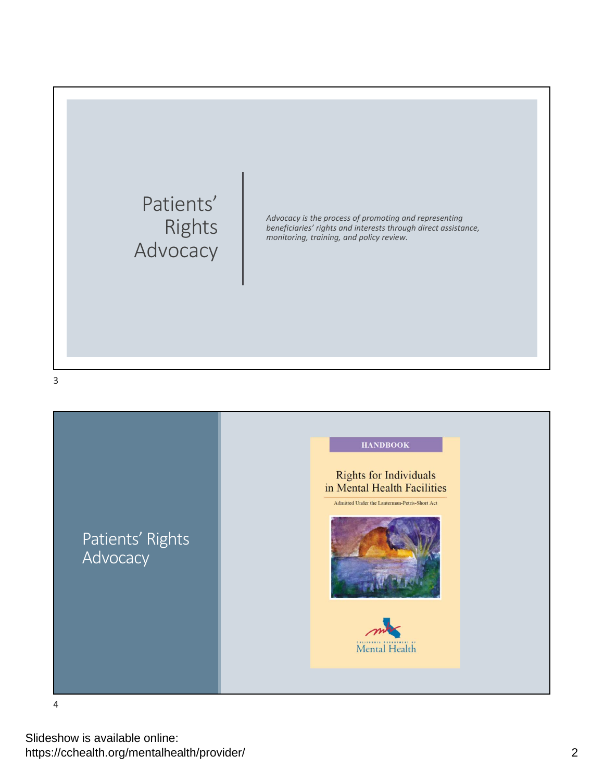



4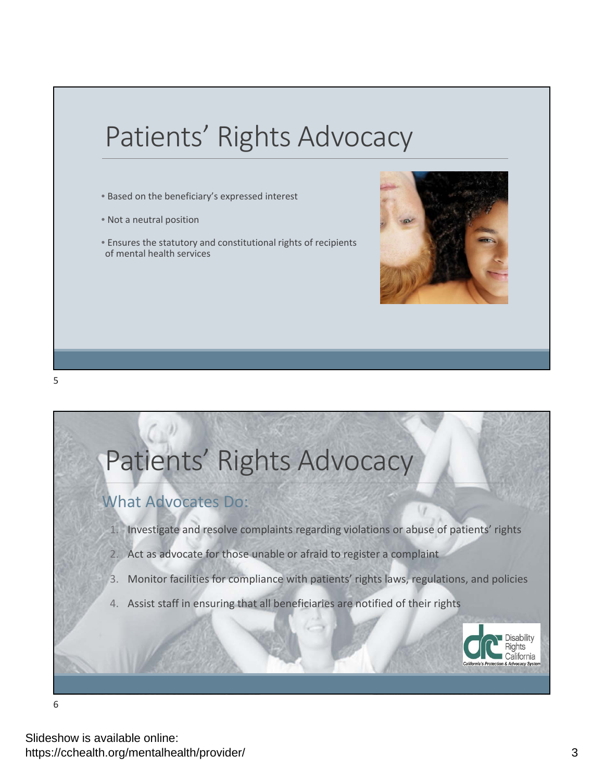## Patients' Rights Advocacy

- Based on the beneficiary's expressed interest
- Not a neutral position
- Ensures the statutory and constitutional rights of recipients of mental health services





6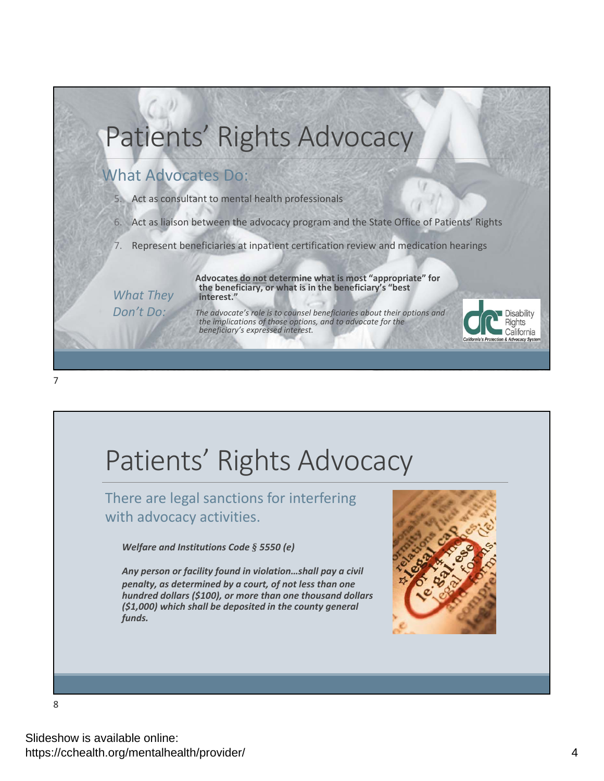## Patients' Rights Advocacy

### What Advocates Do:

- 5. Act as consultant to mental health professionals
- 6. Act as liaison between the advocacy program and the State Office of Patients' Rights
- 7. Represent beneficiaries at inpatient certification review and medication hearings

**Advocates do not determine what is most "appropriate" for the beneficiary, or what is in the beneficiary's "best interest."**

*What They Don't Do:*

*The advocate's role is to counsel beneficiaries about their options and the implications of those options, and to advocate for the beneficiary's expressed interest.*



## Patients' Rights Advocacy

There are legal sanctions for interfering with advocacy activities.

*Welfare and Institutions Code § 5550 (e)*

*Any person or facility found in violation…shall pay a civil penalty, as determined by a court, of not less than one hundred dollars (\$100), or more than one thousand dollars (\$1,000) which shall be deposited in the county general funds.*



Disability **Rights** California tection & Advocacy Syste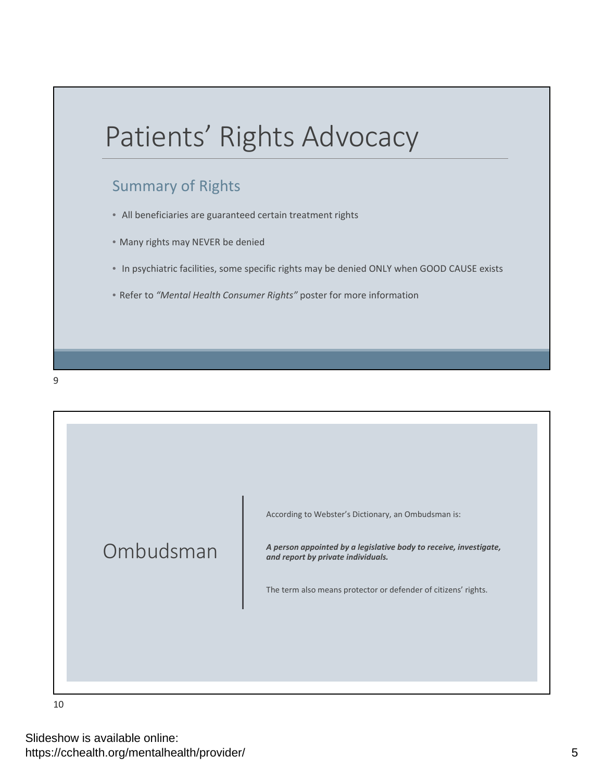

### Summary of Rights

- All beneficiaries are guaranteed certain treatment rights
- Many rights may NEVER be denied
- In psychiatric facilities, some specific rights may be denied ONLY when GOOD CAUSE exists
- Refer to *"Mental Health Consumer Rights"* poster for more information

9



10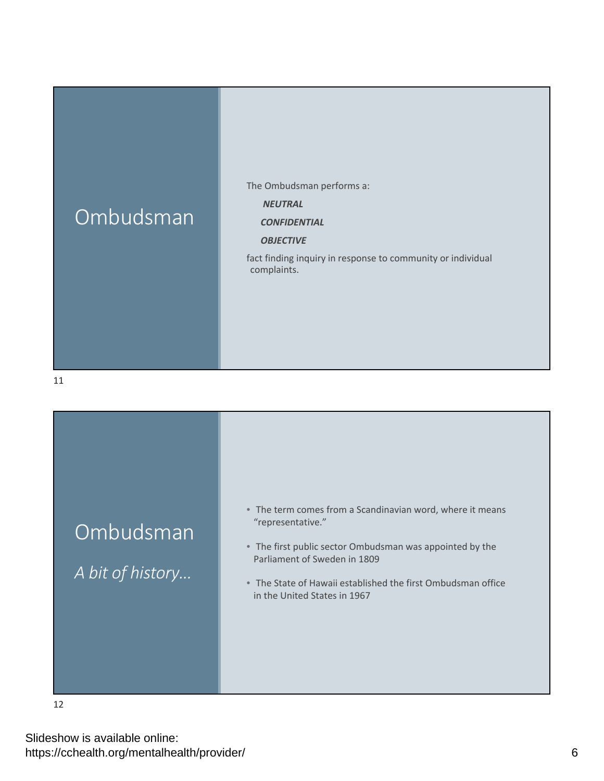## Ombudsman

The Ombudsman performs a:

#### *NEUTRAL*

#### *CONFIDENTIAL*

#### *OBJECTIVE*

fact finding inquiry in response to community or individual complaints.

11



12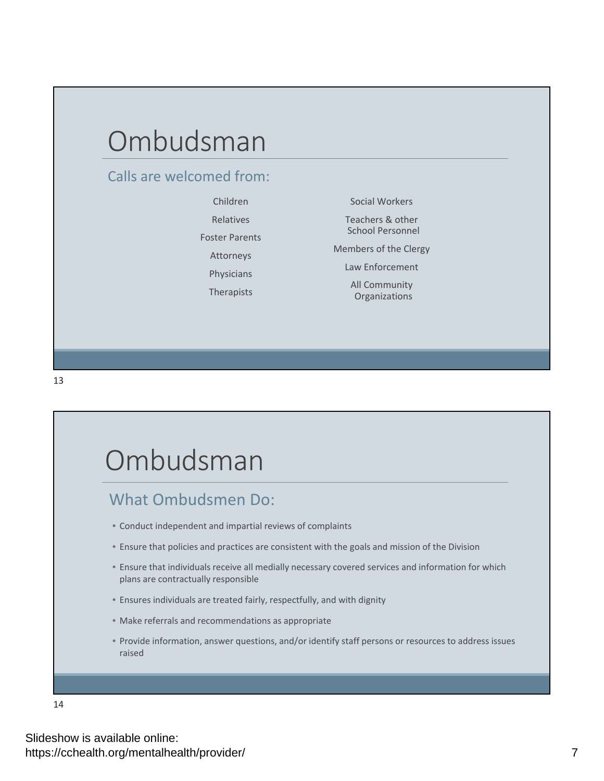## Ombudsman

### Calls are welcomed from:

Children Relatives Foster Parents Attorneys Physicians Therapists

Social Workers

Teachers & other School Personnel

Members of the Clergy

Law Enforcement

All Community Organizations

13

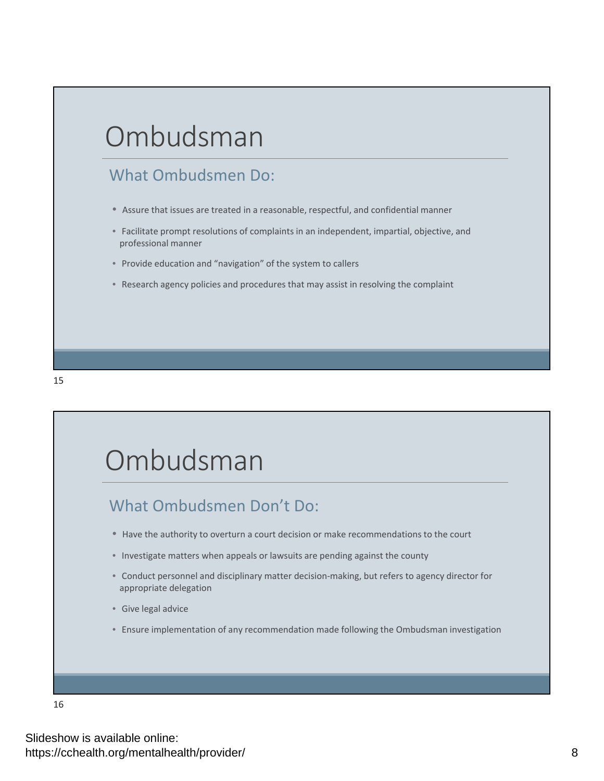## Ombudsman

### What Ombudsmen Do:

- Assure that issues are treated in a reasonable, respectful, and confidential manner
- Facilitate prompt resolutions of complaints in an independent, impartial, objective, and professional manner
- Provide education and "navigation" of the system to callers
- Research agency policies and procedures that may assist in resolving the complaint



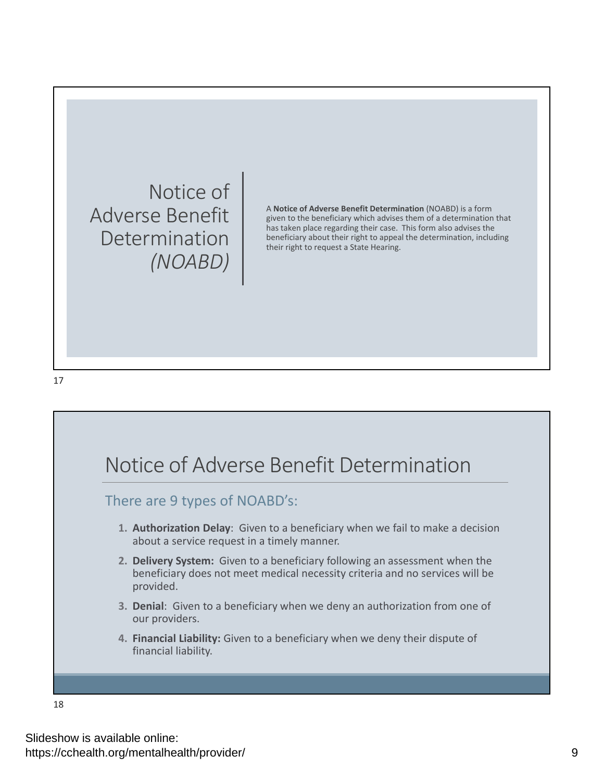Notice of Adverse Benefit Determination *(NOABD)*

A **Notice of Adverse Benefit Determination** (NOABD) is a form given to the beneficiary which advises them of a determination that has taken place regarding their case. This form also advises the beneficiary about their right to appeal the determination, including their right to request a State Hearing.

17

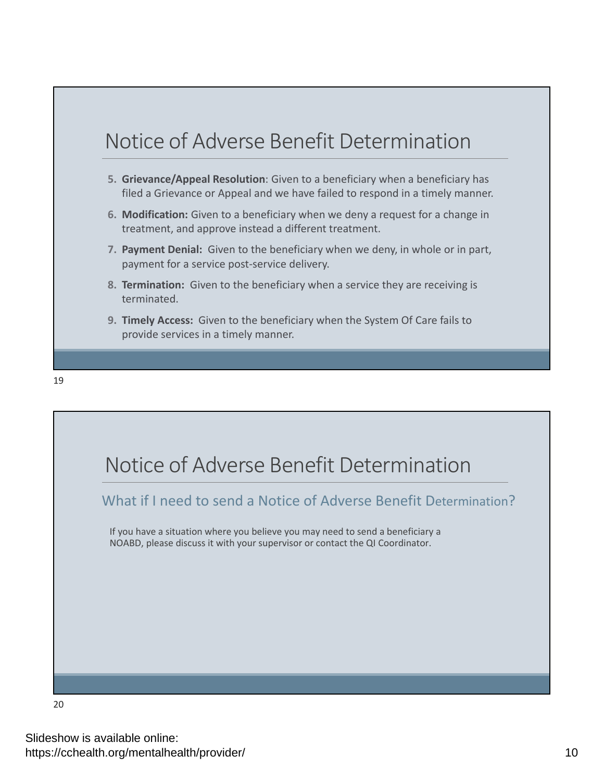

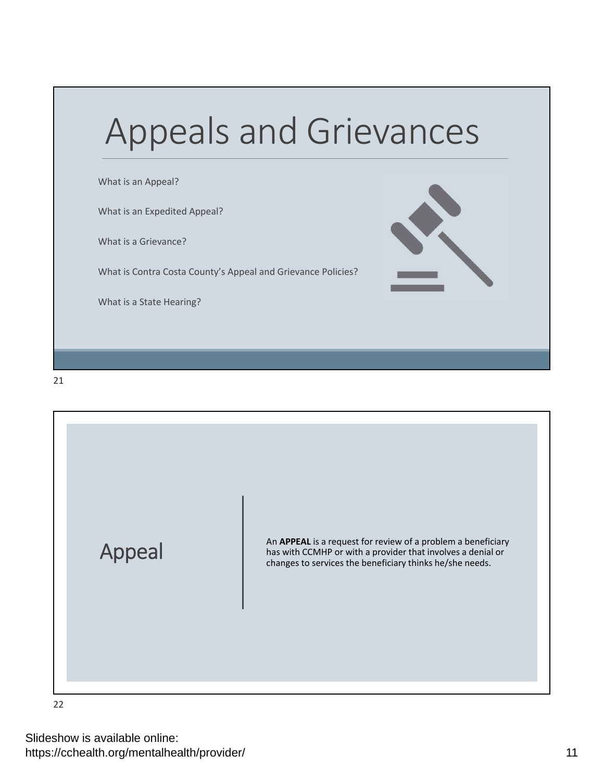



22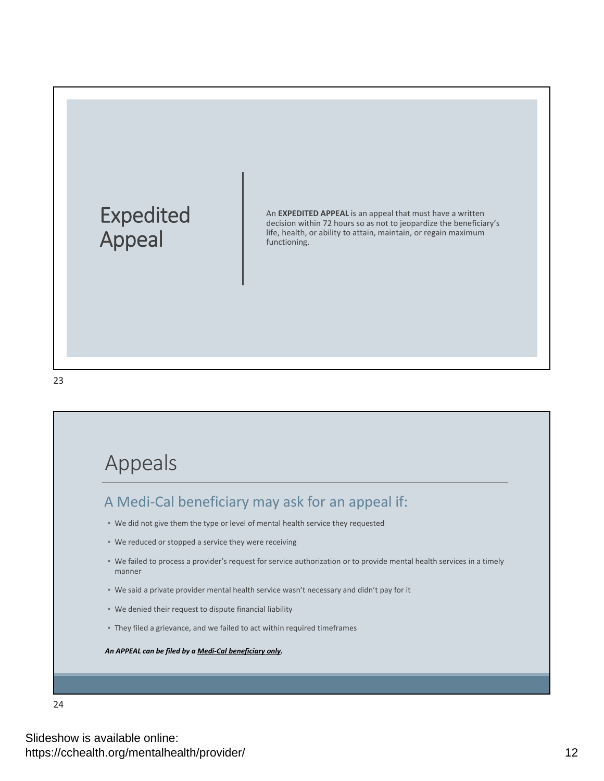



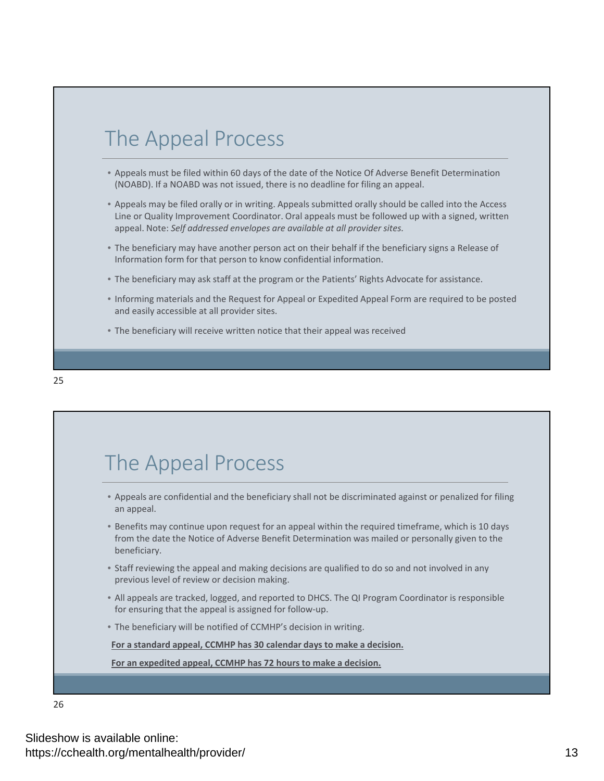## The Appeal Process

- Appeals must be filed within 60 days of the date of the Notice Of Adverse Benefit Determination (NOABD). If a NOABD was not issued, there is no deadline for filing an appeal.
- Appeals may be filed orally or in writing. Appeals submitted orally should be called into the Access Line or Quality Improvement Coordinator. Oral appeals must be followed up with a signed, written appeal. Note: *Self addressed envelopes are available at all provider sites.*
- The beneficiary may have another person act on their behalf if the beneficiary signs a Release of Information form for that person to know confidential information.
- The beneficiary may ask staff at the program or the Patients' Rights Advocate for assistance.
- Informing materials and the Request for Appeal or Expedited Appeal Form are required to be posted and easily accessible at all provider sites.
- The beneficiary will receive written notice that their appeal was received



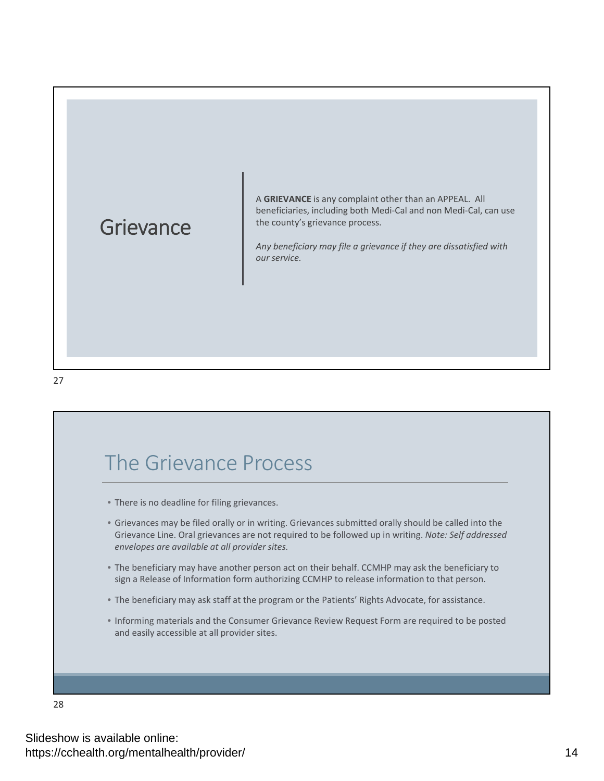## **Grievance**

A **GRIEVANCE** is any complaint other than an APPEAL. All beneficiaries, including both Medi‐Cal and non Medi‐Cal, can use the county's grievance process.

*Any beneficiary may file a grievance if they are dissatisfied with our service.*

27

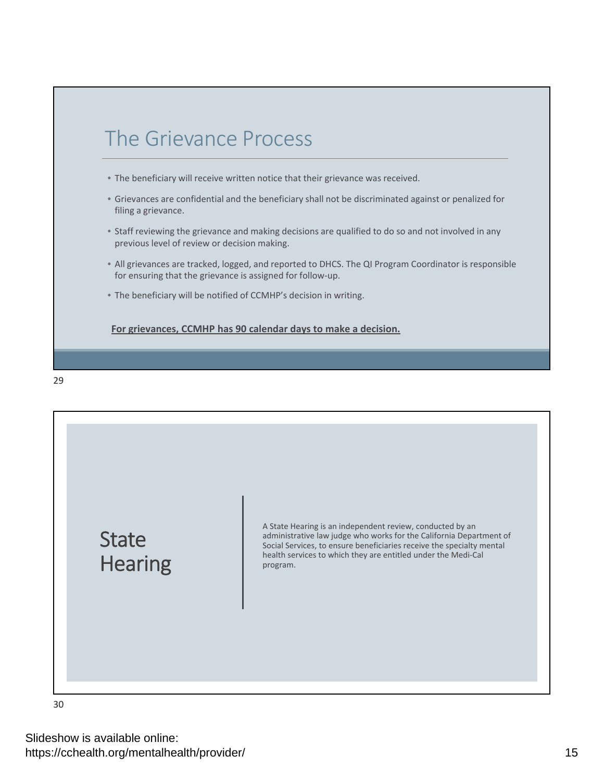



30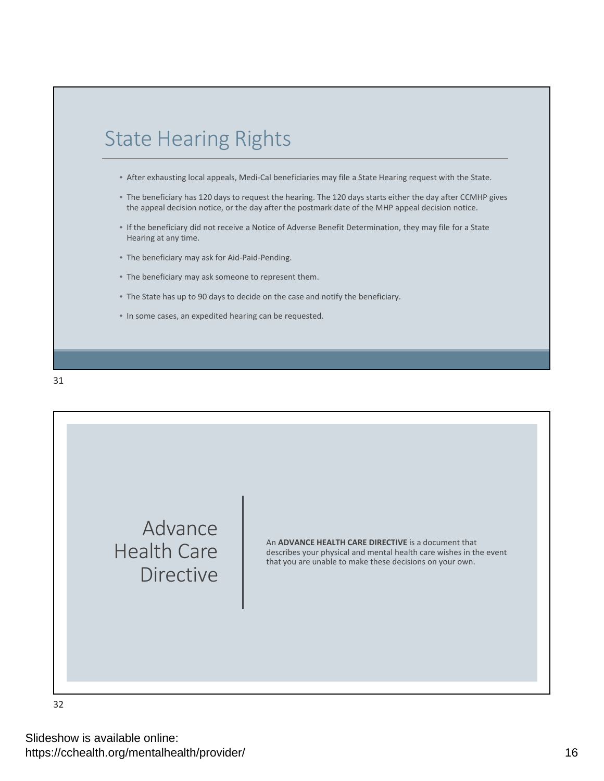